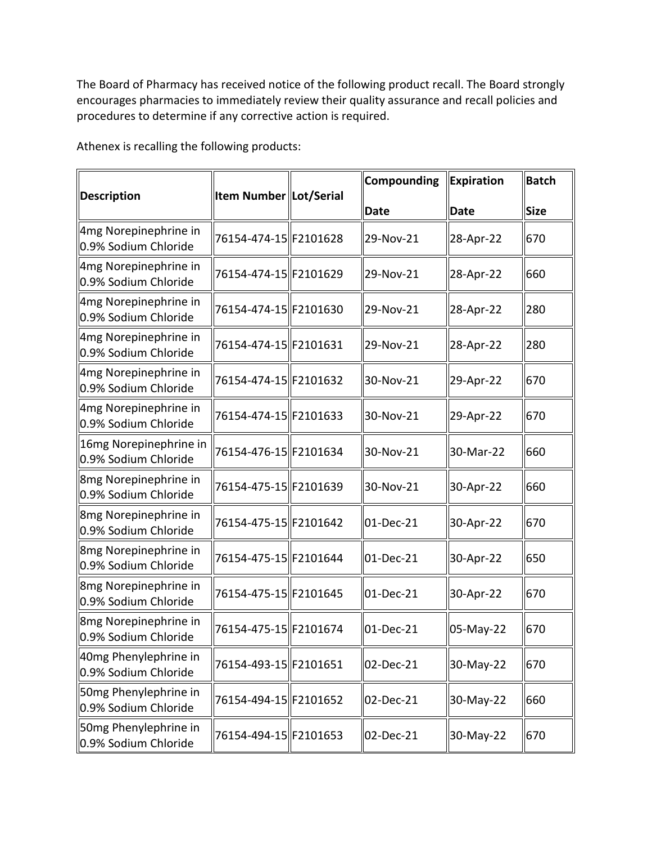The Board of Pharmacy has received notice of the following product recall. The Board strongly encourages pharmacies to immediately review their quality assurance and recall policies and procedures to determine if any corrective action is required.

Athenex is recalling the following products:

| <b>Description</b>                                        | <b>Item Number Lot/Serial</b> |  | Compounding       | <b>Expiration</b> | Batch       |
|-----------------------------------------------------------|-------------------------------|--|-------------------|-------------------|-------------|
|                                                           |                               |  | <b>Date</b>       | <b>Date</b>       | <b>Size</b> |
| 4mg Norepinephrine in<br>0.9% Sodium Chloride             | 76154-474-15 F2101628         |  | 29-Nov-21         | 28-Apr-22         | 670         |
| 4mg Norepinephrine in<br>0.9% Sodium Chloride             | 76154-474-15 F2101629         |  | 29-Nov-21         | 28-Apr-22         | 660         |
| 4mg Norepinephrine in<br>0.9% Sodium Chloride             | 76154-474-15  F2101630        |  | 29-Nov-21         | 28-Apr-22         | 280         |
| 4mg Norepinephrine in<br>0.9% Sodium Chloride             | 76154-474-15 F2101631         |  | 29-Nov-21         | 28-Apr-22         | 280         |
| 4mg Norepinephrine in<br>0.9% Sodium Chloride             | 76154-474-15 F2101632         |  | 30-Nov-21         | 29-Apr-22         | 670         |
| 4mg Norepinephrine in<br>0.9% Sodium Chloride             | 76154-474-15 F2101633         |  | 30-Nov-21         | 29-Apr-22         | 670         |
| 16mg Norepinephrine in<br>0.9% Sodium Chloride            | 76154-476-15 F2101634         |  | 30-Nov-21         | 30-Mar-22         | 660         |
| 8mg Norepinephrine in<br>0.9% Sodium Chloride             | 76154-475-15 F2101639         |  | 30-Nov-21         | 30-Apr-22         | 660         |
| 8mg Norepinephrine in<br>0.9% Sodium Chloride             | 76154-475-15 F2101642         |  | 01-Dec-21         | 30-Apr-22         | 670         |
| 8mg Norepinephrine in<br>0.9% Sodium Chloride             | 76154-475-15 F2101644         |  | 01-Dec-21         | 30-Apr-22         | 650         |
| 8mg Norepinephrine in<br>0.9% Sodium Chloride             | 76154-475-15 F2101645         |  | 01-Dec-21         | 30-Apr-22         | 670         |
| 8mg Norepinephrine in<br>0.9% Sodium Chloride             | 76154-475-15 F2101674         |  | 01-Dec-21         | 05-May-22         | 670         |
| 40mg Phenylephrine in<br>0.9% Sodium Chloride             | 76154-493-15 F2101651         |  | 02-Dec-21         | 30-May-22         | 670         |
| 50mg Phenylephrine in<br>$\parallel$ 0.9% Sodium Chloride | 76154-494-15 F2101652         |  | $\vert$ 02-Dec-21 | 30-May-22         | 660         |
| 50mg Phenylephrine in<br>0.9% Sodium Chloride             | 76154-494-15 F2101653         |  | 02-Dec-21         | 30-May-22         | 670         |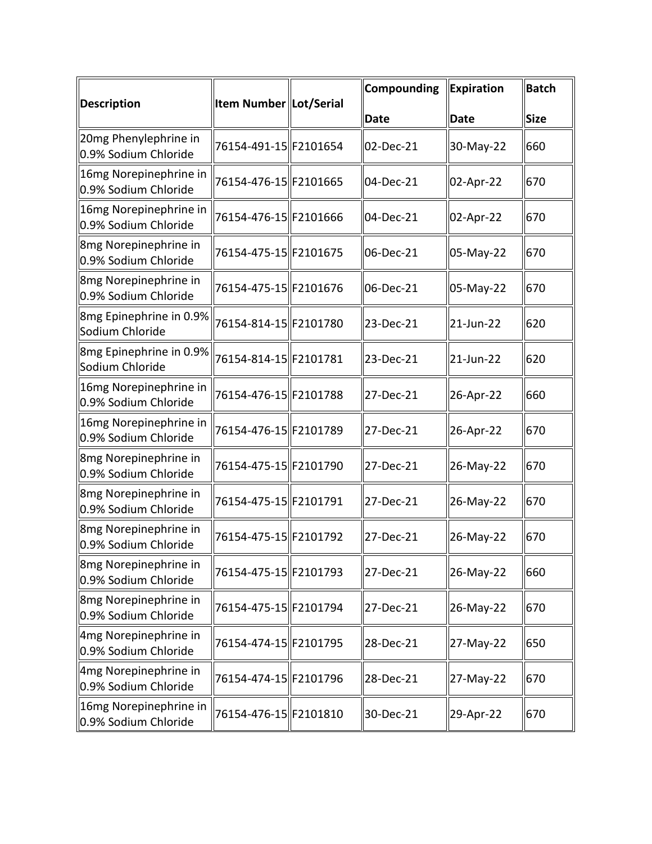| <b>Description</b>                             | <b>Item Number Lot/Serial</b> |  | Compounding | Expiration | Batch       |
|------------------------------------------------|-------------------------------|--|-------------|------------|-------------|
|                                                |                               |  | <b>Date</b> | Date       | <b>Size</b> |
| 20mg Phenylephrine in<br>0.9% Sodium Chloride  | 76154-491-15 F2101654         |  | 02-Dec-21   | 30-May-22  | 660         |
| 16mg Norepinephrine in<br>0.9% Sodium Chloride | 76154-476-15  F2101665        |  | 04-Dec-21   | 02-Apr-22  | 670         |
| 16mg Norepinephrine in<br>0.9% Sodium Chloride | 76154-476-15 F2101666         |  | 04-Dec-21   | 02-Apr-22  | 670         |
| 8mg Norepinephrine in<br>0.9% Sodium Chloride  | 76154-475-15 F2101675         |  | 06-Dec-21   | 05-May-22  | 670         |
| 8mg Norepinephrine in<br>0.9% Sodium Chloride  | 76154-475-15 F2101676         |  | 06-Dec-21   | 05-May-22  | 670         |
| 8mg Epinephrine in 0.9%<br>Sodium Chloride     | 76154-814-15 F2101780         |  | 23-Dec-21   | 21-Jun-22  | 620         |
| 8mg Epinephrine in 0.9%<br>Sodium Chloride     | 76154-814-15 F2101781         |  | 23-Dec-21   | 21-Jun-22  | 620         |
| 16mg Norepinephrine in<br>0.9% Sodium Chloride | 76154-476-15 F2101788         |  | 27-Dec-21   | 26-Apr-22  | 660         |
| 16mg Norepinephrine in<br>0.9% Sodium Chloride | 76154-476-15 F2101789         |  | 27-Dec-21   | 26-Apr-22  | 670         |
| 8mg Norepinephrine in<br>0.9% Sodium Chloride  | 76154-475-15 F2101790         |  | 27-Dec-21   | 26-May-22  | 670         |
| 8mg Norepinephrine in<br>0.9% Sodium Chloride  | 76154-475-15  F2101791        |  | 27-Dec-21   | 26-May-22  | 670         |
| 8mg Norepinephrine in<br>0.9% Sodium Chloride  | 76154-475-15 F2101792         |  | 27-Dec-21   | 26-May-22  | 670         |
| 8mg Norepinephrine in<br>0.9% Sodium Chloride  | 76154-475-15 F2101793         |  | 27-Dec-21   | 26-May-22  | 660         |
| 8mg Norepinephrine in<br>0.9% Sodium Chloride  | 76154-475-15 F2101794         |  | 27-Dec-21   | 26-May-22  | 670         |
| 4mg Norepinephrine in<br>0.9% Sodium Chloride  | 76154-474-15 F2101795         |  | 28-Dec-21   | 27-May-22  | 650         |
| 4mg Norepinephrine in<br>0.9% Sodium Chloride  | 76154-474-15 F2101796         |  | 28-Dec-21   | 27-May-22  | 670         |
| 16mg Norepinephrine in<br>0.9% Sodium Chloride | 76154-476-15 F2101810         |  | 30-Dec-21   | 29-Apr-22  | 670         |